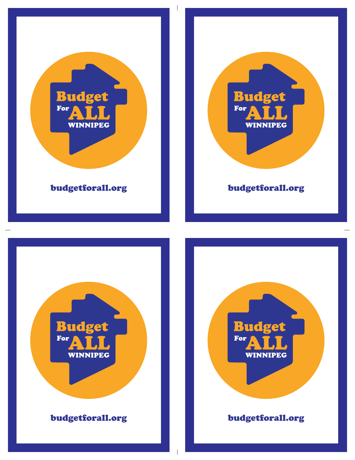